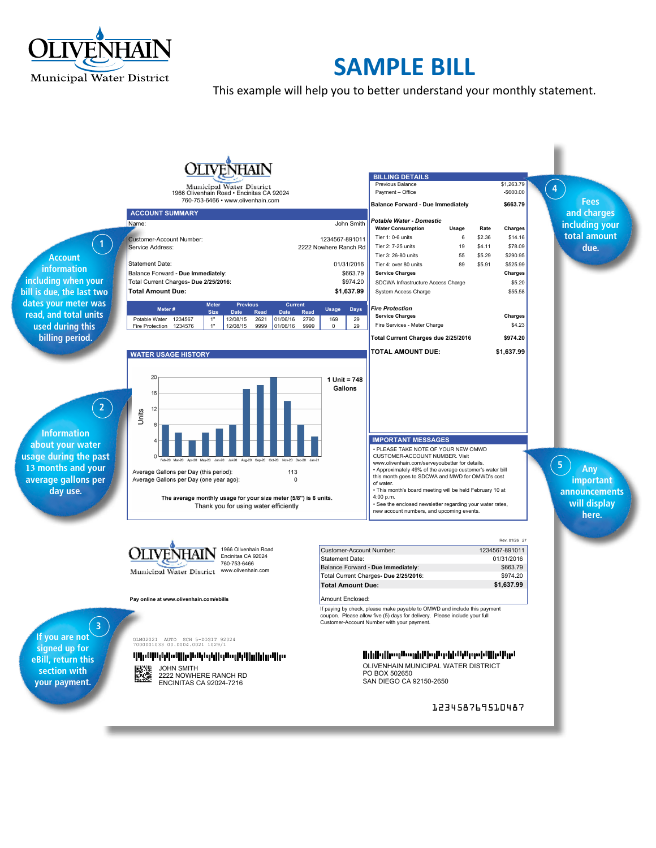

# **SAMPLE BILL**

This example will help you to better understand your monthly statement.